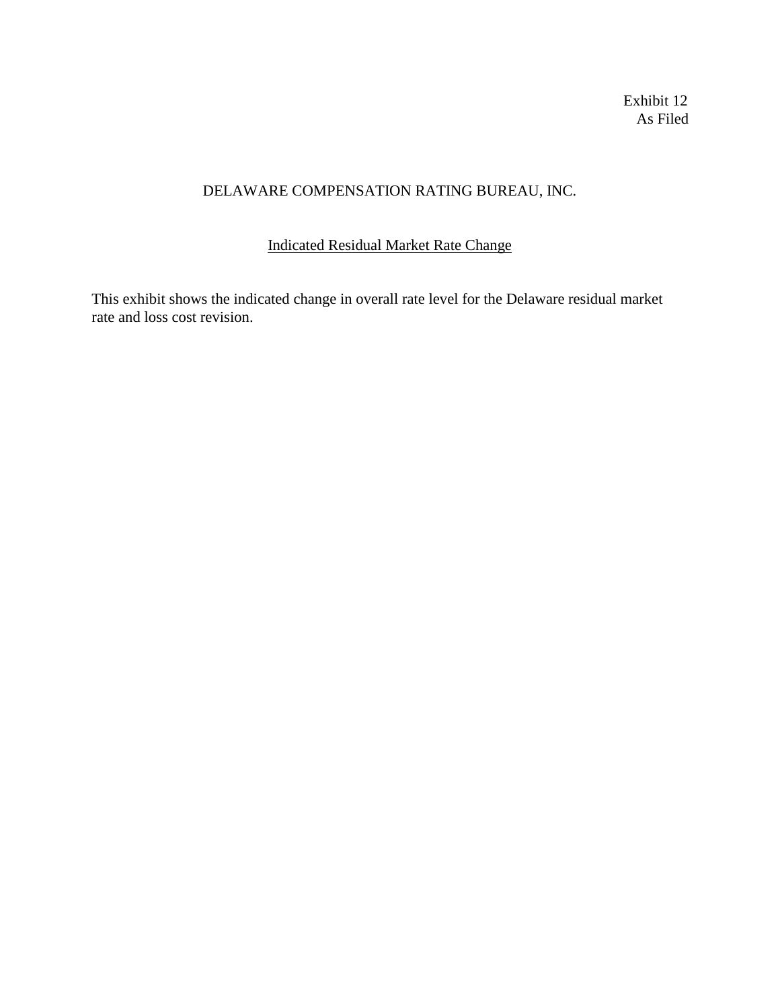Exhibit 12 As Filed

## DELAWARE COMPENSATION RATING BUREAU, INC.

## Indicated Residual Market Rate Change

This exhibit shows the indicated change in overall rate level for the Delaware residual market rate and loss cost revision.